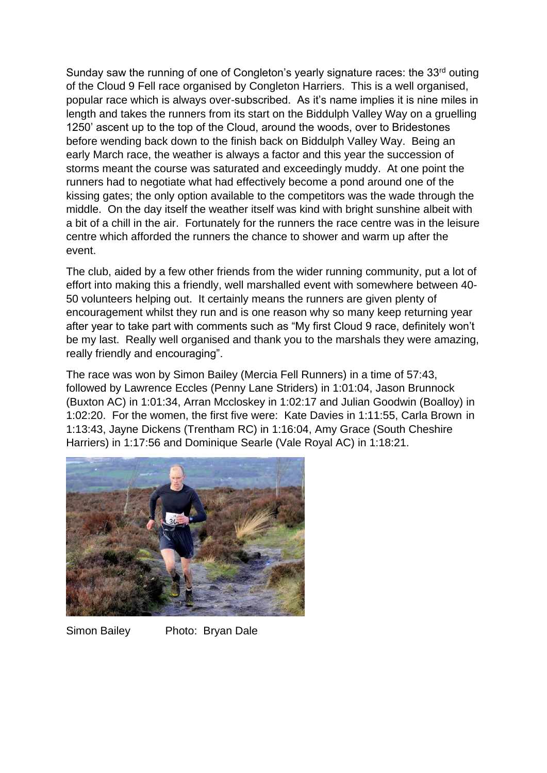Sunday saw the running of one of Congleton's yearly signature races: the 33<sup>rd</sup> outing of the Cloud 9 Fell race organised by Congleton Harriers. This is a well organised, popular race which is always over-subscribed. As it's name implies it is nine miles in length and takes the runners from its start on the Biddulph Valley Way on a gruelling 1250' ascent up to the top of the Cloud, around the woods, over to Bridestones before wending back down to the finish back on Biddulph Valley Way. Being an early March race, the weather is always a factor and this year the succession of storms meant the course was saturated and exceedingly muddy. At one point the runners had to negotiate what had effectively become a pond around one of the kissing gates; the only option available to the competitors was the wade through the middle. On the day itself the weather itself was kind with bright sunshine albeit with a bit of a chill in the air. Fortunately for the runners the race centre was in the leisure centre which afforded the runners the chance to shower and warm up after the event.

The club, aided by a few other friends from the wider running community, put a lot of effort into making this a friendly, well marshalled event with somewhere between 40- 50 volunteers helping out. It certainly means the runners are given plenty of encouragement whilst they run and is one reason why so many keep returning year after year to take part with comments such as "My first Cloud 9 race, definitely won't be my last. Really well organised and thank you to the marshals they were amazing, really friendly and encouraging".

The race was won by Simon Bailey (Mercia Fell Runners) in a time of 57:43, followed by Lawrence Eccles (Penny Lane Striders) in 1:01:04, Jason Brunnock (Buxton AC) in 1:01:34, Arran Mccloskey in 1:02:17 and Julian Goodwin (Boalloy) in 1:02:20. For the women, the first five were: Kate Davies in 1:11:55, Carla Brown in 1:13:43, Jayne Dickens (Trentham RC) in 1:16:04, Amy Grace (South Cheshire Harriers) in 1:17:56 and Dominique Searle (Vale Royal AC) in 1:18:21.



Simon Bailey Photo: Bryan Dale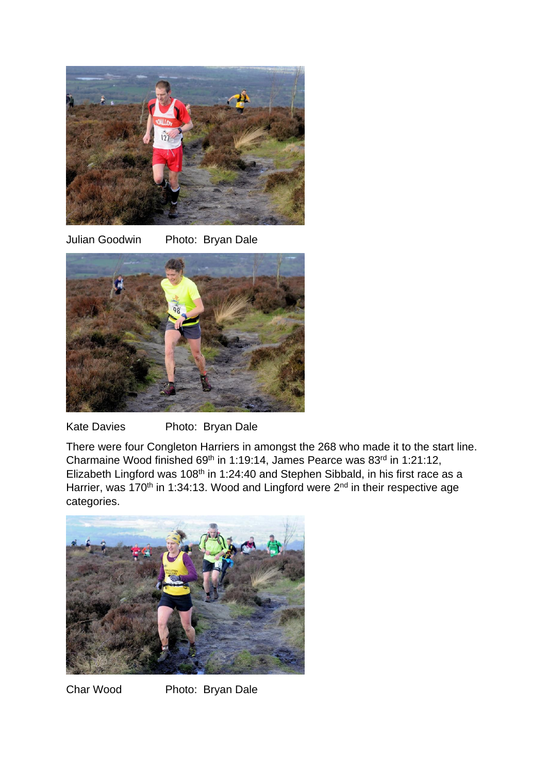

Julian Goodwin Photo: Bryan Dale



Kate Davies Photo: Bryan Dale

There were four Congleton Harriers in amongst the 268 who made it to the start line. Charmaine Wood finished 69<sup>th</sup> in 1:19:14, James Pearce was  $83<sup>rd</sup>$  in 1:21:12, Elizabeth Lingford was 108<sup>th</sup> in 1:24:40 and Stephen Sibbald, in his first race as a Harrier, was 170<sup>th</sup> in 1:34:13. Wood and Lingford were 2<sup>nd</sup> in their respective age categories.



Char Wood Photo: Bryan Dale